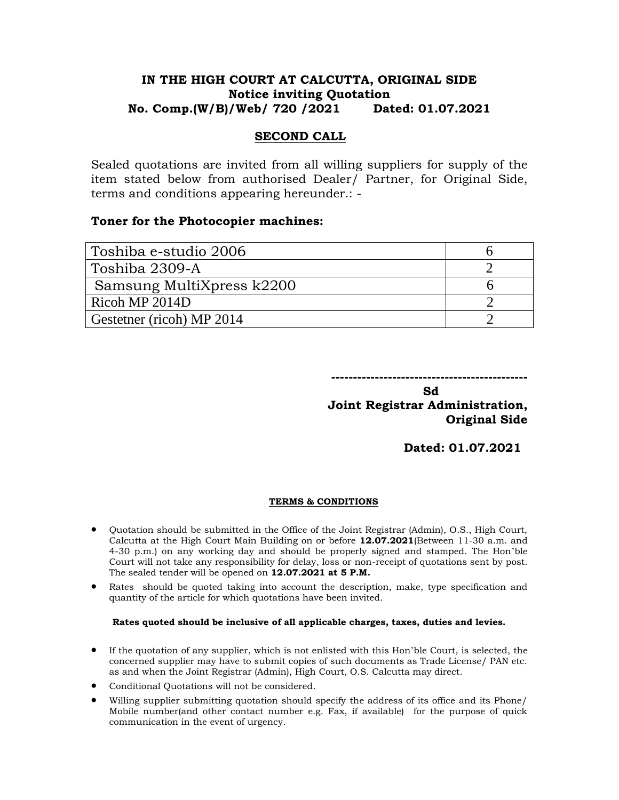# **IN THE HIGH COURT AT CALCUTTA, ORIGINAL SIDE Notice inviting Quotation No. Comp.(W/B)/Web/ 720 /2021 Dated: 01.07.2021**

## **SECOND CALL**

Sealed quotations are invited from all willing suppliers for supply of the item stated below from authorised Dealer/ Partner, for Original Side, terms and conditions appearing hereunder.: -

### **Toner for the Photocopier machines:**

| Toshiba e-studio 2006     |  |
|---------------------------|--|
| Toshiba 2309-A            |  |
| Samsung MultiXpress k2200 |  |
| Ricoh MP 2014D            |  |
| Gestetner (ricoh) MP 2014 |  |

**---------------------------------------------**

**Sd** Samuel Control of the Society of the Society of the Society of the Society of the Society of the Society of the Society of the Society of the Society of the Society of the Society of the Society of the Society of the **Joint Registrar Administration, Original Side** 

**Dated: 01.07.2021**

### **TERMS & CONDITIONS**

- Quotation should be submitted in the Office of the Joint Registrar (Admin), O.S., High Court, Calcutta at the High Court Main Building on or before **12.07.2021**(Between 11-30 a.m. and 4-30 p.m.) on any working day and should be properly signed and stamped. The Hon'ble Court will not take any responsibility for delay, loss or non-receipt of quotations sent by post. The sealed tender will be opened on **12.07.2021 at 5 P.M.**
- Rates should be quoted taking into account the description, make, type specification and quantity of the article for which quotations have been invited.

### **Rates quoted should be inclusive of all applicable charges, taxes, duties and levies.**

- If the quotation of any supplier, which is not enlisted with this Hon'ble Court, is selected, the concerned supplier may have to submit copies of such documents as Trade License/ PAN etc. as and when the Joint Registrar (Admin), High Court, O.S. Calcutta may direct.
- Conditional Quotations will not be considered.
- Willing supplier submitting quotation should specify the address of its office and its Phone/ Mobile number(and other contact number e.g. Fax, if available) for the purpose of quick communication in the event of urgency.